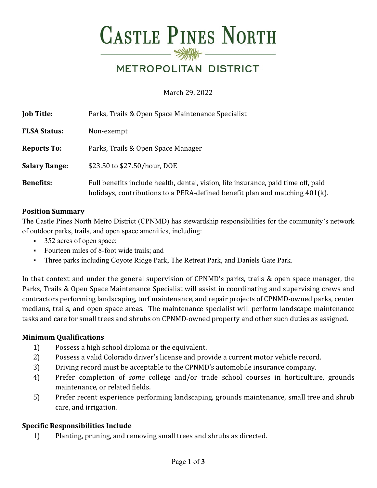# **CASTLE PINES NORTH**  $\longrightarrow\hspace{-1.5mm}\longrightarrow\hspace{-1.5mm}\longrightarrow$

# METROPOLITAN DISTRICT

March 29, 2022

| <b>Job Title:</b>    | Parks, Trails & Open Space Maintenance Specialist                                                                                                                |
|----------------------|------------------------------------------------------------------------------------------------------------------------------------------------------------------|
| <b>FLSA Status:</b>  | Non-exempt                                                                                                                                                       |
| <b>Reports To:</b>   | Parks, Trails & Open Space Manager                                                                                                                               |
| <b>Salary Range:</b> | \$23.50 to \$27.50/hour, DOE                                                                                                                                     |
| <b>Benefits:</b>     | Full benefits include health, dental, vision, life insurance, paid time off, paid<br>holidays, contributions to a PERA-defined benefit plan and matching 401(k). |

#### **Position Summary**

The Castle Pines North Metro District (CPNMD) has stewardship responsibilities for the community's network of outdoor parks, trails, and open space amenities, including:

- 352 acres of open space;
- Fourteen miles of 8-foot wide trails; and
- Three parks including Coyote Ridge Park, The Retreat Park, and Daniels Gate Park.

In that context and under the general supervision of CPNMD's parks, trails & open space manager, the Parks, Trails & Open Space Maintenance Specialist will assist in coordinating and supervising crews and contractors performing landscaping, turf maintenance, and repair projects of CPNMD-owned parks, center medians, trails, and open space areas. The maintenance specialist will perform landscape maintenance tasks and care for small trees and shrubs on CPNMD-owned property and other such duties as assigned.

#### **Minimum Qualifications**

- 1) Possess a high school diploma or the equivalent.
- 2) Possess a valid Colorado driver's license and provide a current motor vehicle record.
- 3) Driving record must be acceptable to the CPNMD's automobile insurance company.
- 4) Prefer completion of *some* college and/or trade school courses in horticulture, grounds maintenance, or related fields.
- 5) Prefer recent experience performing landscaping, grounds maintenance, small tree and shrub care, and irrigation.

#### **Specific Responsibilities Include**

1) Planting, pruning, and removing small trees and shrubs as directed.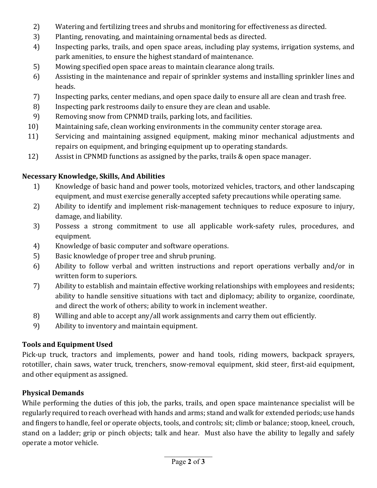- 2) Watering and fertilizing trees and shrubs and monitoring for effectiveness as directed.
- 3) Planting, renovating, and maintaining ornamental beds as directed.
- 4) Inspecting parks, trails, and open space areas, including play systems, irrigation systems, and park amenities, to ensure the highest standard of maintenance.
- 5) Mowing specified open space areas to maintain clearance along trails.
- 6) Assisting in the maintenance and repair of sprinkler systems and installing sprinkler lines and heads.
- 7) Inspecting parks, center medians, and open space daily to ensure all are clean and trash free.
- 8) Inspecting park restrooms daily to ensure they are clean and usable.
- 9) Removing snow from CPNMD trails, parking lots, and facilities.
- 10) Maintaining safe, clean working environments in the community center storage area.
- 11) Servicing and maintaining assigned equipment, making minor mechanical adjustments and repairs on equipment, and bringing equipment up to operating standards.
- 12) Assist in CPNMD functions as assigned by the parks, trails & open space manager.

#### **Necessary Knowledge, Skills, And Abilities**

- 1) Knowledge of basic hand and power tools, motorized vehicles, tractors, and other landscaping equipment, and must exercise generally accepted safety precautions while operating same.
- 2) Ability to identify and implement risk-management techniques to reduce exposure to injury, damage, and liability.
- 3) Possess a strong commitment to use all applicable work-safety rules, procedures, and equipment.
- 4) Knowledge of basic computer and software operations.
- 5) Basic knowledge of proper tree and shrub pruning.
- 6) Ability to follow verbal and written instructions and report operations verbally and/or in written form to superiors.
- 7) Ability to establish and maintain effective working relationships with employees and residents; ability to handle sensitive situations with tact and diplomacy; ability to organize, coordinate, and direct the work of others; ability to work in inclement weather.
- 8) Willing and able to accept any/all work assignments and carry them out efficiently.
- 9) Ability to inventory and maintain equipment.

# **Tools and Equipment Used**

Pick-up truck, tractors and implements, power and hand tools, riding mowers, backpack sprayers, rototiller, chain saws, water truck, trenchers, snow-removal equipment, skid steer, first-aid equipment, and other equipment as assigned.

# **Physical Demands**

While performing the duties of this job, the parks, trails, and open space maintenance specialist will be regularly required to reach overhead with hands and arms; stand and walk for extended periods; use hands and fingers to handle, feel or operate objects, tools, and controls; sit; climb or balance; stoop, kneel, crouch, stand on a ladder; grip or pinch objects; talk and hear. Must also have the ability to legally and safely operate a motor vehicle.